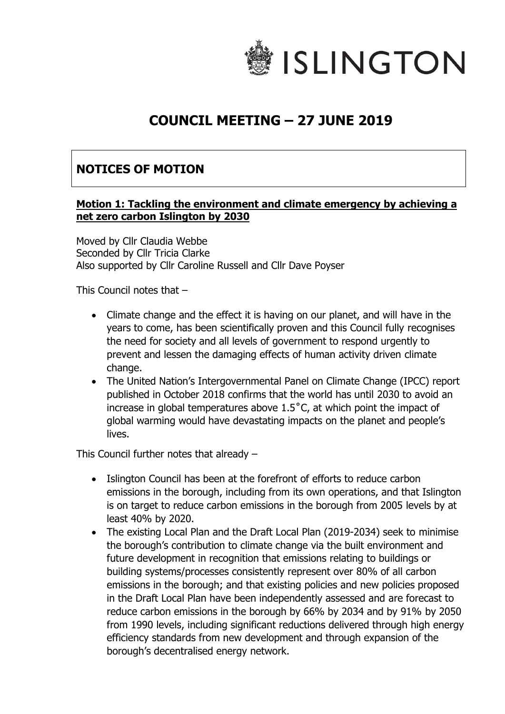

## **COUNCIL MEETING – 27 JUNE 2019**

## **NOTICES OF MOTION**

## **Motion 1: Tackling the environment and climate emergency by achieving a net zero carbon Islington by 2030**

Moved by Cllr Claudia Webbe Seconded by Cllr Tricia Clarke Also supported by Cllr Caroline Russell and Cllr Dave Poyser

This Council notes that –

- Climate change and the effect it is having on our planet, and will have in the years to come, has been scientifically proven and this Council fully recognises the need for society and all levels of government to respond urgently to prevent and lessen the damaging effects of human activity driven climate change.
- The United Nation's Intergovernmental Panel on Climate Change (IPCC) report published in October 2018 confirms that the world has until 2030 to avoid an increase in global temperatures above 1.5˚C, at which point the impact of global warming would have devastating impacts on the planet and people's lives.

This Council further notes that already –

- Islington Council has been at the forefront of efforts to reduce carbon emissions in the borough, including from its own operations, and that Islington is on target to reduce carbon emissions in the borough from 2005 levels by at least 40% by 2020.
- The existing Local Plan and the Draft Local Plan (2019-2034) seek to minimise the borough's contribution to climate change via the built environment and future development in recognition that emissions relating to buildings or building systems/processes consistently represent over 80% of all carbon emissions in the borough; and that existing policies and new policies proposed in the Draft Local Plan have been independently assessed and are forecast to reduce carbon emissions in the borough by 66% by 2034 and by 91% by 2050 from 1990 levels, including significant reductions delivered through high energy efficiency standards from new development and through expansion of the borough's decentralised energy network.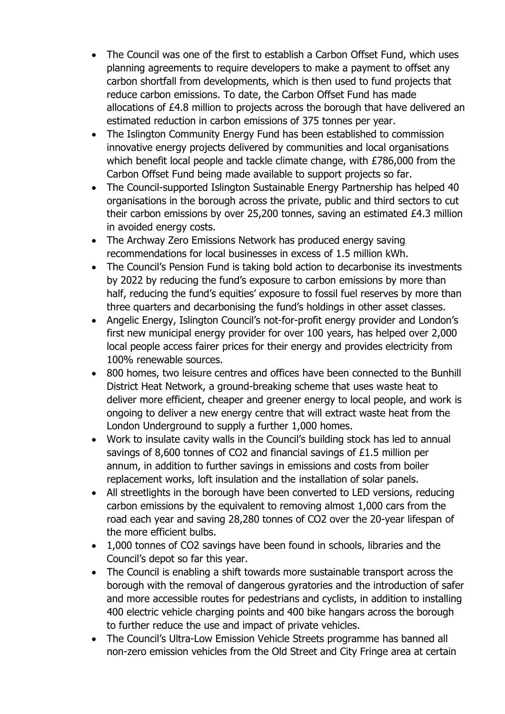- The Council was one of the first to establish a Carbon Offset Fund, which uses planning agreements to require developers to make a payment to offset any carbon shortfall from developments, which is then used to fund projects that reduce carbon emissions. To date, the Carbon Offset Fund has made allocations of £4.8 million to projects across the borough that have delivered an estimated reduction in carbon emissions of 375 tonnes per year.
- The Islington Community Energy Fund has been established to commission innovative energy projects delivered by communities and local organisations which benefit local people and tackle climate change, with £786,000 from the Carbon Offset Fund being made available to support projects so far.
- The Council-supported Islington Sustainable Energy Partnership has helped 40 organisations in the borough across the private, public and third sectors to cut their carbon emissions by over 25,200 tonnes, saving an estimated £4.3 million in avoided energy costs.
- The Archway Zero Emissions Network has produced energy saving recommendations for local businesses in excess of 1.5 million kWh.
- The Council's Pension Fund is taking bold action to decarbonise its investments by 2022 by reducing the fund's exposure to carbon emissions by more than half, reducing the fund's equities' exposure to fossil fuel reserves by more than three quarters and decarbonising the fund's holdings in other asset classes.
- Angelic Energy, Islington Council's not-for-profit energy provider and London's first new municipal energy provider for over 100 years, has helped over 2,000 local people access fairer prices for their energy and provides electricity from 100% renewable sources.
- 800 homes, two leisure centres and offices have been connected to the Bunhill District Heat Network, a ground-breaking scheme that uses waste heat to deliver more efficient, cheaper and greener energy to local people, and work is ongoing to deliver a new energy centre that will extract waste heat from the London Underground to supply a further 1,000 homes.
- Work to insulate cavity walls in the Council's building stock has led to annual savings of 8,600 tonnes of CO2 and financial savings of £1.5 million per annum, in addition to further savings in emissions and costs from boiler replacement works, loft insulation and the installation of solar panels.
- All streetlights in the borough have been converted to LED versions, reducing carbon emissions by the equivalent to removing almost 1,000 cars from the road each year and saving 28,280 tonnes of CO2 over the 20-year lifespan of the more efficient bulbs.
- 1,000 tonnes of CO2 savings have been found in schools, libraries and the Council's depot so far this year.
- The Council is enabling a shift towards more sustainable transport across the borough with the removal of dangerous gyratories and the introduction of safer and more accessible routes for pedestrians and cyclists, in addition to installing 400 electric vehicle charging points and 400 bike hangars across the borough to further reduce the use and impact of private vehicles.
- The Council's Ultra-Low Emission Vehicle Streets programme has banned all non-zero emission vehicles from the Old Street and City Fringe area at certain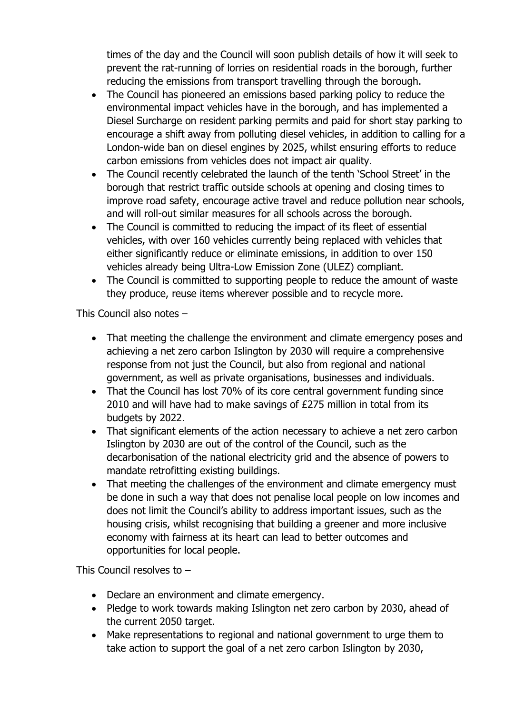times of the day and the Council will soon publish details of how it will seek to prevent the rat-running of lorries on residential roads in the borough, further reducing the emissions from transport travelling through the borough.

- The Council has pioneered an emissions based parking policy to reduce the environmental impact vehicles have in the borough, and has implemented a Diesel Surcharge on resident parking permits and paid for short stay parking to encourage a shift away from polluting diesel vehicles, in addition to calling for a London-wide ban on diesel engines by 2025, whilst ensuring efforts to reduce carbon emissions from vehicles does not impact air quality.
- The Council recently celebrated the launch of the tenth 'School Street' in the borough that restrict traffic outside schools at opening and closing times to improve road safety, encourage active travel and reduce pollution near schools, and will roll-out similar measures for all schools across the borough.
- The Council is committed to reducing the impact of its fleet of essential vehicles, with over 160 vehicles currently being replaced with vehicles that either significantly reduce or eliminate emissions, in addition to over 150 vehicles already being Ultra-Low Emission Zone (ULEZ) compliant.
- The Council is committed to supporting people to reduce the amount of waste they produce, reuse items wherever possible and to recycle more.

This Council also notes –

- That meeting the challenge the environment and climate emergency poses and achieving a net zero carbon Islington by 2030 will require a comprehensive response from not just the Council, but also from regional and national government, as well as private organisations, businesses and individuals.
- That the Council has lost 70% of its core central government funding since 2010 and will have had to make savings of £275 million in total from its budgets by 2022.
- That significant elements of the action necessary to achieve a net zero carbon Islington by 2030 are out of the control of the Council, such as the decarbonisation of the national electricity grid and the absence of powers to mandate retrofitting existing buildings.
- That meeting the challenges of the environment and climate emergency must be done in such a way that does not penalise local people on low incomes and does not limit the Council's ability to address important issues, such as the housing crisis, whilst recognising that building a greener and more inclusive economy with fairness at its heart can lead to better outcomes and opportunities for local people.

This Council resolves to –

- Declare an environment and climate emergency.
- Pledge to work towards making Islington net zero carbon by 2030, ahead of the current 2050 target.
- Make representations to regional and national government to urge them to take action to support the goal of a net zero carbon Islington by 2030,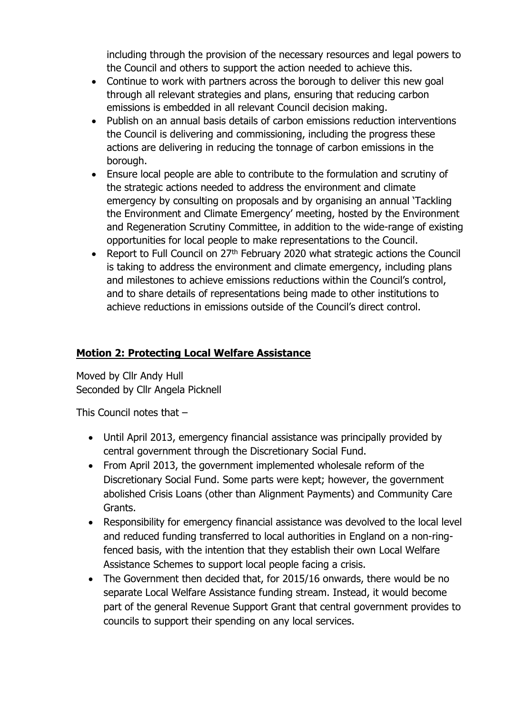including through the provision of the necessary resources and legal powers to the Council and others to support the action needed to achieve this.

- Continue to work with partners across the borough to deliver this new goal through all relevant strategies and plans, ensuring that reducing carbon emissions is embedded in all relevant Council decision making.
- Publish on an annual basis details of carbon emissions reduction interventions the Council is delivering and commissioning, including the progress these actions are delivering in reducing the tonnage of carbon emissions in the borough.
- Ensure local people are able to contribute to the formulation and scrutiny of the strategic actions needed to address the environment and climate emergency by consulting on proposals and by organising an annual 'Tackling the Environment and Climate Emergency' meeting, hosted by the Environment and Regeneration Scrutiny Committee, in addition to the wide-range of existing opportunities for local people to make representations to the Council.
- Report to Full Council on 27<sup>th</sup> February 2020 what strategic actions the Council is taking to address the environment and climate emergency, including plans and milestones to achieve emissions reductions within the Council's control, and to share details of representations being made to other institutions to achieve reductions in emissions outside of the Council's direct control.

## **Motion 2: Protecting Local Welfare Assistance**

Moved by Cllr Andy Hull Seconded by Cllr Angela Picknell

This Council notes that –

- Until April 2013, emergency financial assistance was principally provided by central government through the Discretionary Social Fund.
- From April 2013, the government implemented wholesale reform of the Discretionary Social Fund. Some parts were kept; however, the government abolished Crisis Loans (other than Alignment Payments) and Community Care Grants.
- Responsibility for emergency financial assistance was devolved to the local level and reduced funding transferred to local authorities in England on a non-ringfenced basis, with the intention that they establish their own Local Welfare Assistance Schemes to support local people facing a crisis.
- The Government then decided that, for 2015/16 onwards, there would be no separate Local Welfare Assistance funding stream. Instead, it would become part of the general Revenue Support Grant that central government provides to councils to support their spending on any local services.